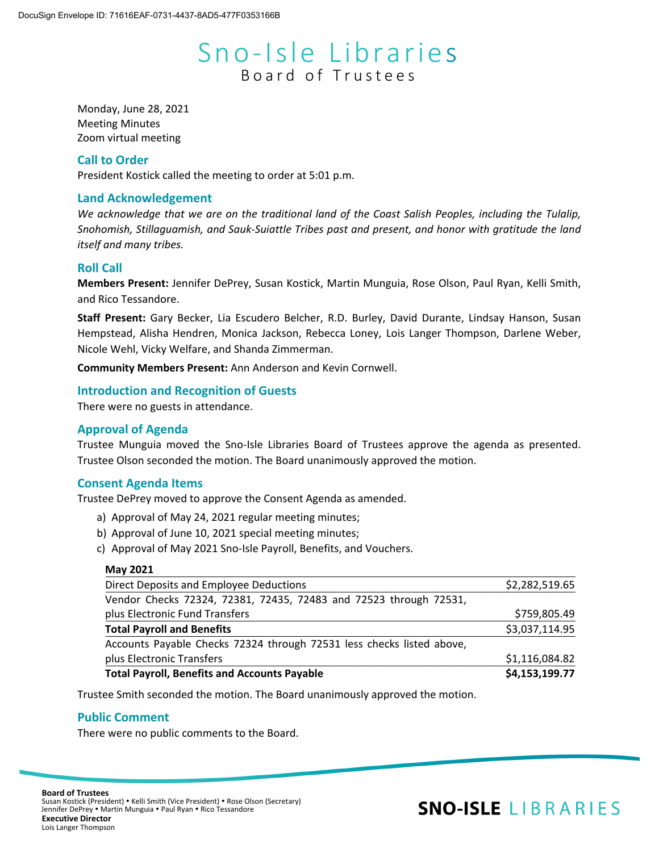# Sno-Isle Libraries Board of Trustees

Monday, June 28, 2021 Meeting Minutes Zoom virtual meeting

### **Call to Order**

President Kostick called the meeting to order at 5:01 p.m.

# **Land Acknowledgement**

*We acknowledge that we are on the traditional land of the Coast Salish Peoples, including the Tulalip, Snohomish, Stillaguamish, and Sauk-Suiattle Tribes past and present, and honor with gratitude the land itself and many tribes.*

#### **Roll Call**

**Members Present:** Jennifer DePrey, Susan Kostick, Martin Munguia, Rose Olson, Paul Ryan, Kelli Smith, and Rico Tessandore.

**Staff Present:** Gary Becker, Lia Escudero Belcher, R.D. Burley, David Durante, Lindsay Hanson, Susan Hempstead, Alisha Hendren, Monica Jackson, Rebecca Loney, Lois Langer Thompson, Darlene Weber, Nicole Wehl, Vicky Welfare, and Shanda Zimmerman.

**Community Members Present:** Ann Anderson and Kevin Cornwell.

#### **Introduction and Recognition of Guests**

There were no guests in attendance.

# **Approval of Agenda**

Trustee Munguia moved the Sno-Isle Libraries Board of Trustees approve the agenda as presented. Trustee Olson seconded the motion. The Board unanimously approved the motion.

#### **Consent Agenda Items**

Trustee DePrey moved to approve the Consent Agenda as amended.

- a) Approval of May 24, 2021 regular meeting minutes;
- b) Approval of June 10, 2021 special meeting minutes;
- c) Approval of May 2021 Sno-Isle Payroll, Benefits, and Vouchers.

#### **May 2021**

| <b>Total Payroll, Benefits and Accounts Payable</b>                   | \$4,153,199.77 |
|-----------------------------------------------------------------------|----------------|
| plus Electronic Transfers                                             | \$1,116,084.82 |
| Accounts Payable Checks 72324 through 72531 less checks listed above, |                |
| <b>Total Payroll and Benefits</b>                                     | \$3,037,114.95 |
| plus Electronic Fund Transfers                                        | \$759,805.49   |
| Vendor Checks 72324, 72381, 72435, 72483 and 72523 through 72531,     |                |
| Direct Deposits and Employee Deductions                               | \$2,282,519.65 |

Trustee Smith seconded the motion. The Board unanimously approved the motion.

#### **Public Comment**

There were no public comments to the Board.

# **SNO-ISLE LIBRARIES**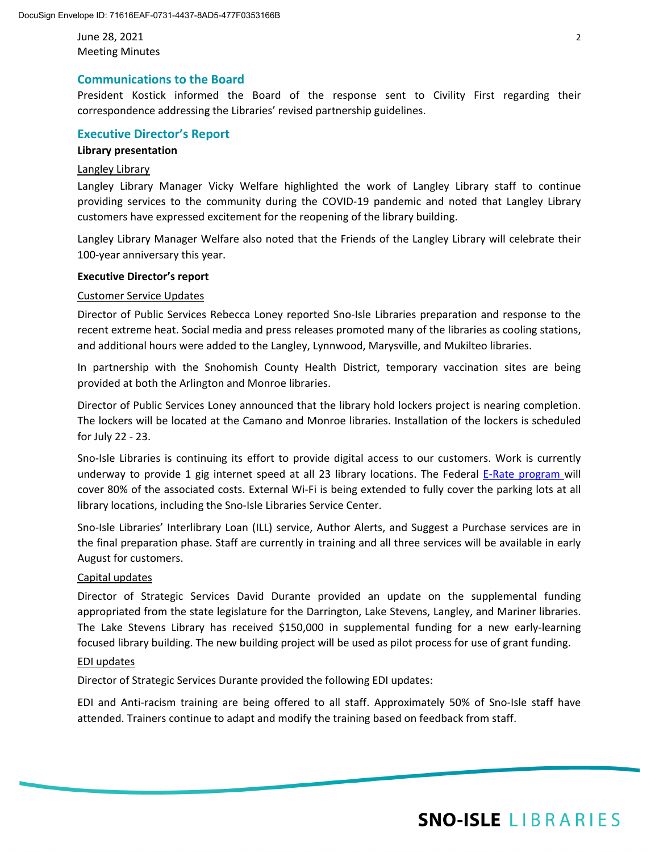June 28, 2021 2 Meeting Minutes

# **Communications to the Board**

President Kostick informed the Board of the response sent to Civility First regarding their correspondence addressing the Libraries' revised partnership guidelines.

### **Executive Director's Report**

#### **Library presentation**

#### Langley Library

Langley Library Manager Vicky Welfare highlighted the work of Langley Library staff to continue providing services to the community during the COVID-19 pandemic and noted that Langley Library customers have expressed excitement for the reopening of the library building.

Langley Library Manager Welfare also noted that the Friends of the Langley Library will celebrate their 100-year anniversary this year.

#### **Executive Director's report**

#### Customer Service Updates

Director of Public Services Rebecca Loney reported Sno-Isle Libraries preparation and response to the recent extreme heat. Social media and press releases promoted many of the libraries as cooling stations, and additional hours were added to the Langley, Lynnwood, Marysville, and Mukilteo libraries.

In partnership with the Snohomish County Health District, temporary vaccination sites are being provided at both the Arlington and Monroe libraries.

Director of Public Services Loney announced that the library hold lockers project is nearing completion. The lockers will be located at the Camano and Monroe libraries. Installation of the lockers is scheduled for July 22 - 23.

Sno-Isle Libraries is continuing its effort to provide digital access to our customers. Work is currently underway to provide 1 gig internet speed at all 23 library locations. The Federal [E-Rate program w](https://www.fcc.gov/consumers/guides/universal-service-program-schools-and-libraries-e-rate)ill cover 80% of the associated costs. External Wi-Fi is being extended to fully cover the parking lots at all library locations, including the Sno-Isle Libraries Service Center.

Sno-Isle Libraries' Interlibrary Loan (ILL) service, Author Alerts, and Suggest a Purchase services are in the final preparation phase. Staff are currently in training and all three services will be available in early August for customers.

#### Capital updates

Director of Strategic Services David Durante provided an update on the supplemental funding appropriated from the state legislature for the Darrington, Lake Stevens, Langley, and Mariner libraries. The Lake Stevens Library has received \$150,000 in supplemental funding for a new early-learning focused library building. The new building project will be used as pilot process for use of grant funding.

#### EDI updates

Director of Strategic Services Durante provided the following EDI updates:

EDI and Anti-racism training are being offered to all staff. Approximately 50% of Sno-Isle staff have attended. Trainers continue to adapt and modify the training based on feedback from staff.

# **SNO-ISLE LIBRARIES**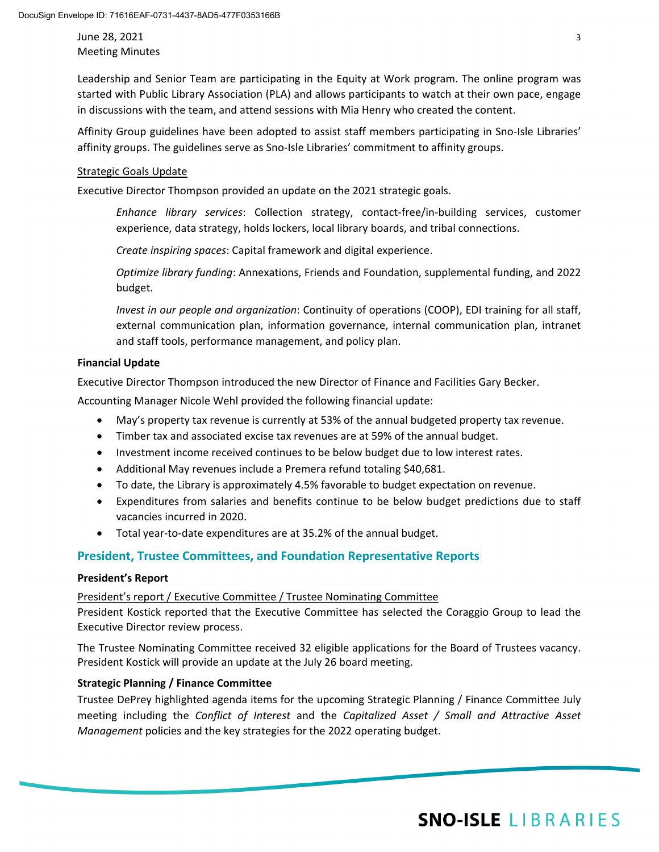June 28, 2021 3 Meeting Minutes

Leadership and Senior Team are participating in the Equity at Work program. The online program was started with Public Library Association (PLA) and allows participants to watch at their own pace, engage in discussions with the team, and attend sessions with Mia Henry who created the content.

Affinity Group guidelines have been adopted to assist staff members participating in Sno-Isle Libraries' affinity groups. The guidelines serve as Sno-Isle Libraries' commitment to affinity groups.

#### Strategic Goals Update

Executive Director Thompson provided an update on the 2021 strategic goals.

*Enhance library services*: Collection strategy, contact-free/in-building services, customer experience, data strategy, holds lockers, local library boards, and tribal connections.

*Create inspiring spaces*: Capital framework and digital experience.

*Optimize library funding*: Annexations, Friends and Foundation, supplemental funding, and 2022 budget.

*Invest in our people and organization*: Continuity of operations (COOP), EDI training for all staff, external communication plan, information governance, internal communication plan, intranet and staff tools, performance management, and policy plan.

# **Financial Update**

Executive Director Thompson introduced the new Director of Finance and Facilities Gary Becker.

Accounting Manager Nicole Wehl provided the following financial update:

- May's property tax revenue is currently at 53% of the annual budgeted property tax revenue.
- Timber tax and associated excise tax revenues are at 59% of the annual budget.
- Investment income received continues to be below budget due to low interest rates.
- Additional May revenues include a Premera refund totaling \$40,681.
- To date, the Library is approximately 4.5% favorable to budget expectation on revenue.
- Expenditures from salaries and benefits continue to be below budget predictions due to staff vacancies incurred in 2020.
- Total year-to-date expenditures are at 35.2% of the annual budget.

# **President, Trustee Committees, and Foundation Representative Reports**

#### **President's Report**

#### President's report / Executive Committee / Trustee Nominating Committee

President Kostick reported that the Executive Committee has selected the Coraggio Group to lead the Executive Director review process.

The Trustee Nominating Committee received 32 eligible applications for the Board of Trustees vacancy. President Kostick will provide an update at the July 26 board meeting.

#### **Strategic Planning / Finance Committee**

Trustee DePrey highlighted agenda items for the upcoming Strategic Planning / Finance Committee July meeting including the *Conflict of Interest* and the *Capitalized Asset / Small and Attractive Asset Management* policies and the key strategies for the 2022 operating budget.

# **SNO-ISLE LIBRARIES**